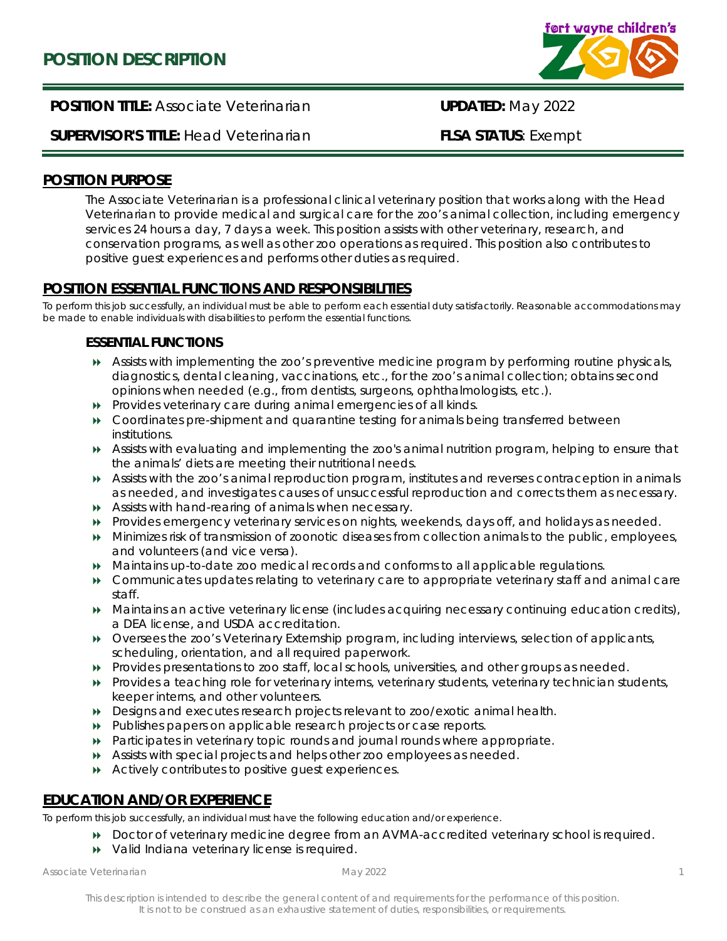

# **POSITION TITLE:** Associate Veterinarian **UPDATED:** May 2022

# **SUPERVISOR'S TITLE:** Head Veterinarian **FLSA STATUS**: Exempt

### **POSITION PURPOSE**

The Associate Veterinarian is a professional clinical veterinary position that works along with the Head Veterinarian to provide medical and surgical care for the zoo's animal collection, including emergency services 24 hours a day, 7 days a week. This position assists with other veterinary, research, and conservation programs, as well as other zoo operations as required. This position also contributes to positive guest experiences and performs other duties as required.

## **POSITION ESSENTIAL FUNCTIONS AND RESPONSIBILITIES**

To perform this job successfully, an individual must be able to perform each essential duty satisfactorily. Reasonable accommodations may be made to enable individuals with disabilities to perform the essential functions.

### **ESSENTIAL FUNCTIONS**

- Assists with implementing the zoo's preventive medicine program by performing routine physicals, diagnostics, dental cleaning, vaccinations, etc., for the zoo's animal collection; obtains second opinions when needed (e.g., from dentists, surgeons, ophthalmologists, etc.).
- Provides veterinary care during animal emergencies of all kinds.
- Coordinates pre-shipment and quarantine testing for animals being transferred between institutions.
- Assists with evaluating and implementing the zoo's animal nutrition program, helping to ensure that the animals' diets are meeting their nutritional needs.
- Assists with the zoo's animal reproduction program, institutes and reverses contraception in animals as needed, and investigates causes of unsuccessful reproduction and corrects them as necessary.
- Assists with hand-rearing of animals when necessary.
- Provides emergency veterinary services on nights, weekends, days off, and holidays as needed.
- Minimizes risk of transmission of zoonotic diseases from collection animals to the public, employees, and volunteers (and vice versa).
- Maintains up-to-date zoo medical records and conforms to all applicable regulations.
- Communicates updates relating to veterinary care to appropriate veterinary staff and animal care staff.
- Maintains an active veterinary license (includes acquiring necessary continuing education credits), a DEA license, and USDA accreditation.
- Oversees the zoo's Veterinary Externship program, including interviews, selection of applicants, scheduling, orientation, and all required paperwork.
- Provides presentations to zoo staff, local schools, universities, and other groups as needed.
- Provides a teaching role for veterinary interns, veterinary students, veterinary technician students, keeper interns, and other volunteers.
- Designs and executes research projects relevant to zoo/exotic animal health.
- Publishes papers on applicable research projects or case reports.
- Participates in veterinary topic rounds and journal rounds where appropriate.
- Assists with special projects and helps other zoo employees as needed.
- Actively contributes to positive guest experiences.

#### **EDUCATION AND/OR EXPERIENCE**

To perform this job successfully, an individual must have the following education and/or experience.

- Doctor of veterinary medicine degree from an AVMA-accredited veterinary school is required.
- Valid Indiana veterinary license is required.

*Associate Veterinarian May 2022*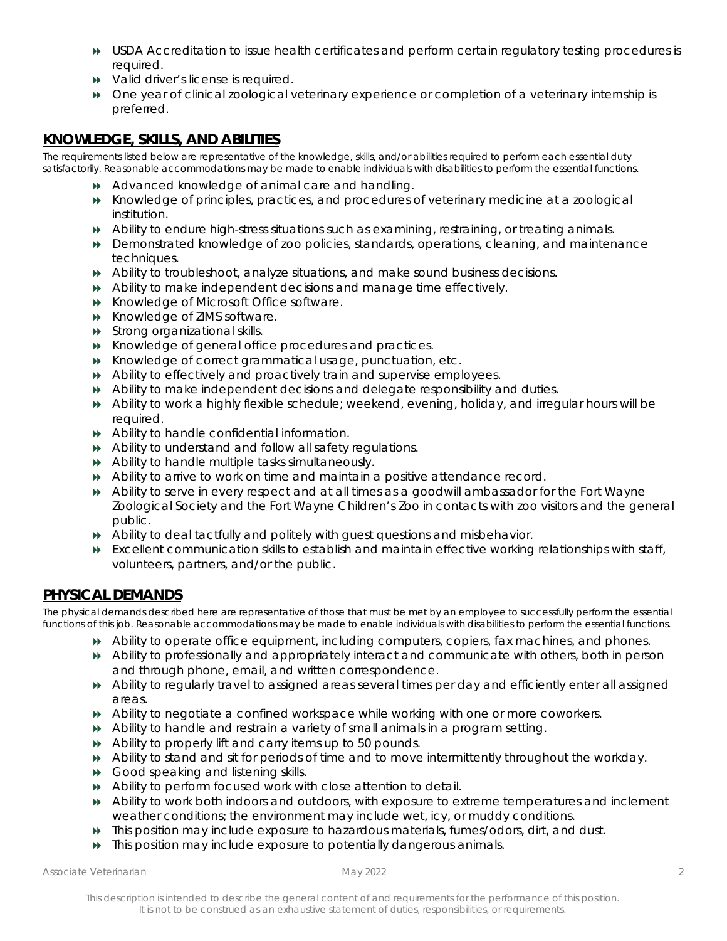- USDA Accreditation to issue health certificates and perform certain regulatory testing procedures is required.
- $\rightarrow$  Valid driver's license is required.
- One year of clinical zoological veterinary experience or completion of a veterinary internship is preferred.

## **KNOWLEDGE, SKILLS, AND ABILITIES**

The requirements listed below are representative of the knowledge, skills, and/or abilities required to perform each essential duty satisfactorily. Reasonable accommodations may be made to enable individuals with disabilities to perform the essential functions.

- Advanced knowledge of animal care and handling.
- Knowledge of principles, practices, and procedures of veterinary medicine at a zoological institution.
- Ability to endure high-stress situations such as examining, restraining, or treating animals.
- Demonstrated knowledge of zoo policies, standards, operations, cleaning, and maintenance techniques.
- Ability to troubleshoot, analyze situations, and make sound business decisions.
- Ability to make independent decisions and manage time effectively.
- Knowledge of Microsoft Office software.
- **EXECUTE:** Knowledge of ZIMS software.
- **>>>** Strong organizational skills.
- Knowledge of general office procedures and practices.
- Knowledge of correct grammatical usage, punctuation, etc.
- Ability to effectively and proactively train and supervise employees.
- Ability to make independent decisions and delegate responsibility and duties.
- Ability to work a highly flexible schedule; weekend, evening, holiday, and irregular hours will be required.
- Ability to handle confidential information.
- Ability to understand and follow all safety regulations.
- Ability to handle multiple tasks simultaneously.
- Ability to arrive to work on time and maintain a positive attendance record.
- Ability to serve in every respect and at all times as a goodwill ambassador for the Fort Wayne Zoological Society and the Fort Wayne Children's Zoo in contacts with zoo visitors and the general public.
- Ability to deal tactfully and politely with guest questions and misbehavior.
- Excellent communication skills to establish and maintain effective working relationships with staff, volunteers, partners, and/or the public.

#### **PHYSICAL DEMANDS**

The physical demands described here are representative of those that must be met by an employee to successfully perform the essential functions of this job. Reasonable accommodations may be made to enable individuals with disabilities to perform the essential functions.

- Ability to operate office equipment, including computers, copiers, fax machines, and phones.
- Ability to professionally and appropriately interact and communicate with others, both in person and through phone, email, and written correspondence.
- Ability to regularly travel to assigned areas several times per day and efficiently enter all assigned areas.
- Ability to negotiate a confined workspace while working with one or more coworkers.
- Ability to handle and restrain a variety of small animals in a program setting.
- Ability to properly lift and carry items up to 50 pounds.
- Ability to stand and sit for periods of time and to move intermittently throughout the workday.
- Good speaking and listening skills.
- Ability to perform focused work with close attention to detail.
- Ability to work both indoors and outdoors, with exposure to extreme temperatures and inclement weather conditions; the environment may include wet, icy, or muddy conditions.
- This position may include exposure to hazardous materials, fumes/odors, dirt, and dust.
- This position may include exposure to potentially dangerous animals.